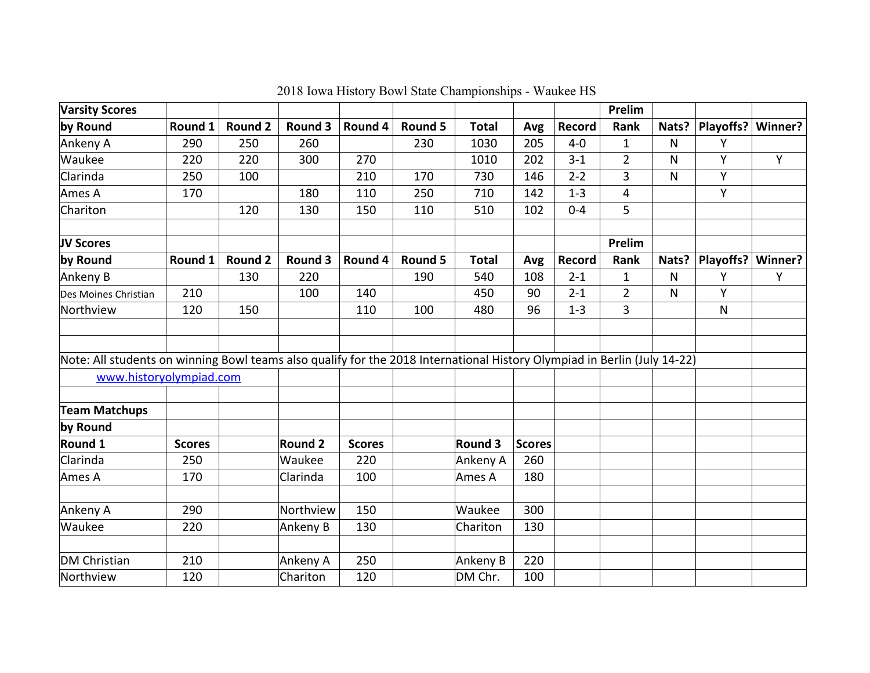| <b>Varsity Scores</b>                                                                                                    |               |                |                |               |         |                |               |         | Prelim         |       |           |         |
|--------------------------------------------------------------------------------------------------------------------------|---------------|----------------|----------------|---------------|---------|----------------|---------------|---------|----------------|-------|-----------|---------|
| by Round                                                                                                                 | Round 1       | Round 2        | Round 3        | Round 4       | Round 5 | <b>Total</b>   | Avg           | Record  | Rank           | Nats? | Playoffs? | Winner? |
| Ankeny A                                                                                                                 | 290           | 250            | 260            |               | 230     | 1030           | 205           | $4-0$   | 1              | N     | Y         |         |
| Waukee                                                                                                                   | 220           | 220            | 300            | 270           |         | 1010           | 202           | $3 - 1$ | $\overline{2}$ | N     | Υ         | Y       |
| Clarinda                                                                                                                 | 250           | 100            |                | 210           | 170     | 730            | 146           | $2 - 2$ | 3              | N     | Υ         |         |
| Ames A                                                                                                                   | 170           |                | 180            | 110           | 250     | 710            | 142           | $1 - 3$ | 4              |       | Υ         |         |
| Chariton                                                                                                                 |               | 120            | 130            | 150           | 110     | 510            | 102           | $0 - 4$ | 5              |       |           |         |
| JV Scores                                                                                                                |               |                |                |               |         |                |               |         | Prelim         |       |           |         |
| by Round                                                                                                                 | Round 1       | <b>Round 2</b> | Round 3        | Round 4       | Round 5 | <b>Total</b>   | Avg           | Record  | Rank           | Nats? | Playoffs? | Winner? |
| Ankeny B                                                                                                                 |               | 130            | 220            |               | 190     | 540            | 108           | $2 - 1$ | $\mathbf{1}$   | N     | Y         | Υ       |
| Des Moines Christian                                                                                                     | 210           |                | 100            | 140           |         | 450            | 90            | $2 - 1$ | $\overline{2}$ | N     | Y         |         |
| Northview                                                                                                                | 120           | 150            |                | 110           | 100     | 480            | 96            | $1 - 3$ | 3              |       | N         |         |
|                                                                                                                          |               |                |                |               |         |                |               |         |                |       |           |         |
| Note: All students on winning Bowl teams also qualify for the 2018 International History Olympiad in Berlin (July 14-22) |               |                |                |               |         |                |               |         |                |       |           |         |
| www.historyolympiad.com                                                                                                  |               |                |                |               |         |                |               |         |                |       |           |         |
| <b>Team Matchups</b>                                                                                                     |               |                |                |               |         |                |               |         |                |       |           |         |
| by Round                                                                                                                 |               |                |                |               |         |                |               |         |                |       |           |         |
| Round 1                                                                                                                  | <b>Scores</b> |                | <b>Round 2</b> | <b>Scores</b> |         | <b>Round 3</b> | <b>Scores</b> |         |                |       |           |         |
| Clarinda                                                                                                                 | 250           |                | Waukee         | 220           |         | Ankeny A       | 260           |         |                |       |           |         |
| Ames A                                                                                                                   | 170           |                | Clarinda       | 100           |         | Ames A         | 180           |         |                |       |           |         |
|                                                                                                                          |               |                |                |               |         |                |               |         |                |       |           |         |
| Ankeny A                                                                                                                 | 290           |                | Northview      | 150           |         | Waukee         | 300           |         |                |       |           |         |
| Waukee                                                                                                                   | 220           |                | Ankeny B       | 130           |         | Chariton       | 130           |         |                |       |           |         |
| <b>DM Christian</b>                                                                                                      | 210           |                | Ankeny A       | 250           |         | Ankeny B       | 220           |         |                |       |           |         |
| Northview                                                                                                                | 120           |                | Chariton       | 120           |         | DM Chr.        | 100           |         |                |       |           |         |

2018 Iowa History Bowl State Championships - Waukee HS